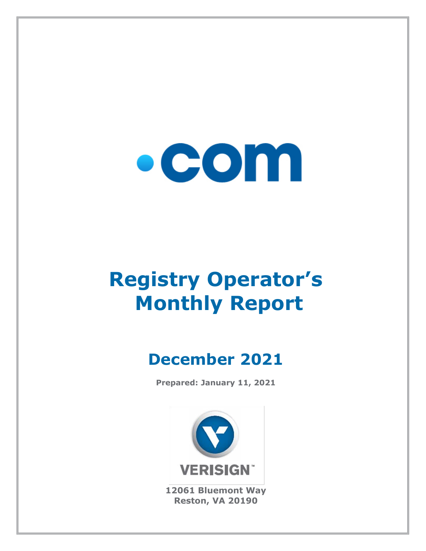

# **Registry Operator's Monthly Report**

## **December 2021**

**Prepared: January 11, 2021**



**12061 Bluemont Way Reston, VA 20190**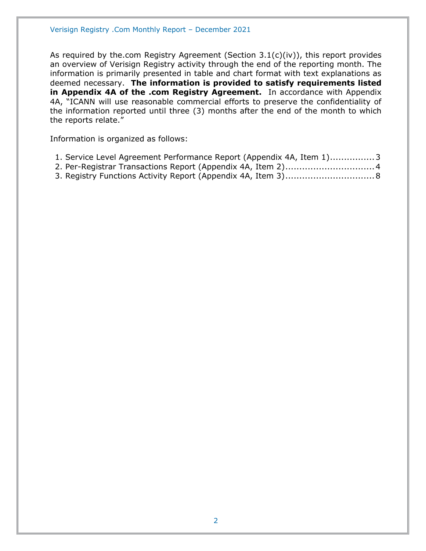As required by the.com Registry Agreement (Section 3.1(c)(iv)), this report provides an overview of Verisign Registry activity through the end of the reporting month. The information is primarily presented in table and chart format with text explanations as deemed necessary. **The information is provided to satisfy requirements listed in Appendix 4A of the .com Registry Agreement.** In accordance with Appendix 4A, "ICANN will use reasonable commercial efforts to preserve the confidentiality of the information reported until three (3) months after the end of the month to which the reports relate."

Information is organized as follows:

| 1. Service Level Agreement Performance Report (Appendix 4A, Item 1)3 |  |  |
|----------------------------------------------------------------------|--|--|
|----------------------------------------------------------------------|--|--|

- [2. Per-Registrar Transactions Report \(Appendix 4A,](#page-3-0) Item 2)................................4
- [3. Registry Functions Activity Report \(Appendix 4A, Item 3\)................................8](#page-7-0)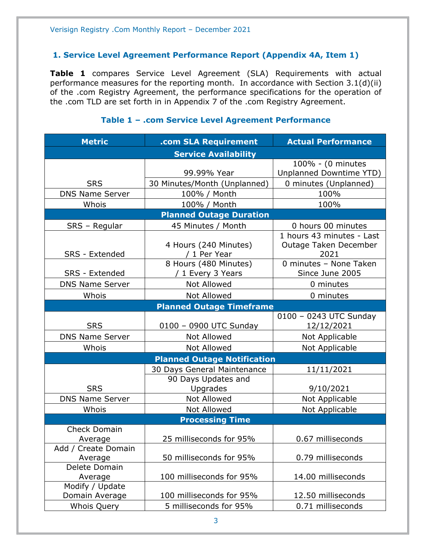#### <span id="page-2-0"></span>**1. Service Level Agreement Performance Report (Appendix 4A, Item 1)**

**Table 1** compares Service Level Agreement (SLA) Requirements with actual performance measures for the reporting month. In accordance with Section 3.1(d)(ii) of the .com Registry Agreement, the performance specifications for the operation of the .com TLD are set forth in in Appendix 7 of the .com Registry Agreement.

#### **Metric .com SLA Requirement Actual Performance Service Availability** SRS 99.99% Year 100% - (0 minutes Unplanned Downtime YTD) 30 Minutes/Month (Unplanned) | 0 minutes (Unplanned) DNS Name Server | 100% / Month | 100% Whois 100% / Month 100% **Planned Outage Duration** SRS – Regular | 45 Minutes / Month | 0 hours 00 minutes SRS - Extended 4 Hours (240 Minutes) / 1 Per Year 1 hours 43 minutes - Last Outage Taken December 2021 SRS - Extended 8 Hours (480 Minutes) / 1 Every 3 Years 0 minutes – None Taken Since June 2005 DNS Name Server  $\begin{array}{ccc} \hline \text{Not} & \text{Allowed} & \text{O} & \text{O} \\ \hline \end{array}$ Whois  $\vert$  Not Allowed  $\vert$  0 minutes **Planned Outage Timeframe** SRS | 0100 – 0900 UTC Sunday 0100 – 0243 UTC Sunday 12/12/2021 DNS Name Server | Not Allowed | Not Applicable Whois  $\vert$  Not Allowed  $\vert$  Not Applicable **Planned Outage Notification SRS** 30 Days General Maintenance | 11/11/2021 90 Days Updates and Upgrades 19/10/2021 DNS Name Server | Not Allowed | Not Applicable Whois | Not Allowed | Not Applicable **Processing Time** Check Domain Average 25 milliseconds for 95% 0.67 milliseconds Add / Create Domain Average 1.1 50 milliseconds for 95% 1.1 0.79 milliseconds Delete Domain Average 100 milliseconds for 95% 14.00 milliseconds Modify / Update Domain Average 100 milliseconds for 95% 12.50 milliseconds Whois Query 5 milliseconds for 95% 0.71 milliseconds

#### **Table 1 – .com Service Level Agreement Performance**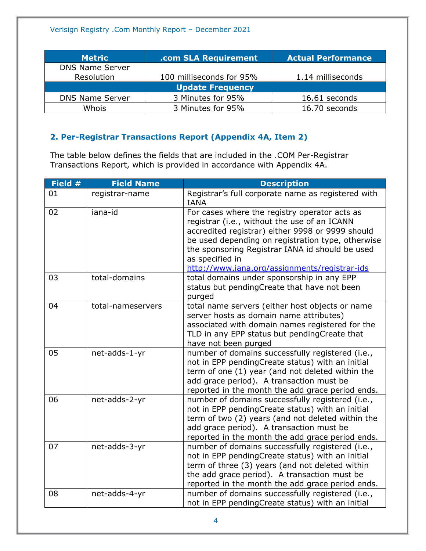| <b>Metric</b>          | .com SLA Requirement     | <b>Actual Performance</b> |
|------------------------|--------------------------|---------------------------|
| <b>DNS Name Server</b> |                          |                           |
| Resolution             | 100 milliseconds for 95% | 1.14 milliseconds         |
|                        | <b>Update Frequency</b>  |                           |
| <b>DNS Name Server</b> | 3 Minutes for 95%        | 16.61 seconds             |
| Whois                  | 3 Minutes for 95%        | 16.70 seconds             |

#### <span id="page-3-0"></span>**2. Per-Registrar Transactions Report (Appendix 4A, Item 2)**

The table below defines the fields that are included in the .COM Per-Registrar Transactions Report, which is provided in accordance with Appendix 4A.

| Field # | <b>Field Name</b> | <b>Description</b>                                                                                                                                                                                                                                                                                                            |
|---------|-------------------|-------------------------------------------------------------------------------------------------------------------------------------------------------------------------------------------------------------------------------------------------------------------------------------------------------------------------------|
| 01      | registrar-name    | Registrar's full corporate name as registered with<br><b>IANA</b>                                                                                                                                                                                                                                                             |
| 02      | iana-id           | For cases where the registry operator acts as<br>registrar (i.e., without the use of an ICANN<br>accredited registrar) either 9998 or 9999 should<br>be used depending on registration type, otherwise<br>the sponsoring Registrar IANA id should be used<br>as specified in<br>http://www.iana.org/assignments/registrar-ids |
| 03      | total-domains     | total domains under sponsorship in any EPP<br>status but pendingCreate that have not been<br>purged                                                                                                                                                                                                                           |
| 04      | total-nameservers | total name servers (either host objects or name<br>server hosts as domain name attributes)<br>associated with domain names registered for the<br>TLD in any EPP status but pendingCreate that<br>have not been purged                                                                                                         |
| 05      | net-adds-1-yr     | number of domains successfully registered (i.e.,<br>not in EPP pendingCreate status) with an initial<br>term of one (1) year (and not deleted within the<br>add grace period). A transaction must be<br>reported in the month the add grace period ends.                                                                      |
| 06      | net-adds-2-yr     | number of domains successfully registered (i.e.,<br>not in EPP pendingCreate status) with an initial<br>term of two (2) years (and not deleted within the<br>add grace period). A transaction must be<br>reported in the month the add grace period ends.                                                                     |
| 07      | net-adds-3-yr     | number of domains successfully registered (i.e.,<br>not in EPP pendingCreate status) with an initial<br>term of three (3) years (and not deleted within<br>the add grace period). A transaction must be<br>reported in the month the add grace period ends.                                                                   |
| 08      | net-adds-4-yr     | number of domains successfully registered (i.e.,<br>not in EPP pendingCreate status) with an initial                                                                                                                                                                                                                          |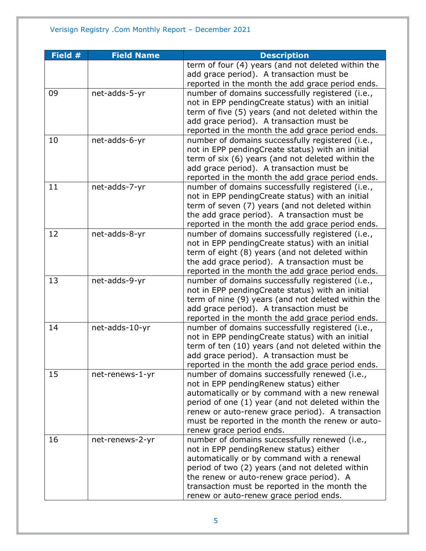| Field # | <b>Field Name</b> | <b>Description</b>                                                        |
|---------|-------------------|---------------------------------------------------------------------------|
|         |                   | term of four (4) years (and not deleted within the                        |
|         |                   | add grace period). A transaction must be                                  |
|         |                   | reported in the month the add grace period ends.                          |
| 09      | net-adds-5-yr     | number of domains successfully registered (i.e.,                          |
|         |                   | not in EPP pendingCreate status) with an initial                          |
|         |                   | term of five (5) years (and not deleted within the                        |
|         |                   | add grace period). A transaction must be                                  |
|         |                   | reported in the month the add grace period ends.                          |
| 10      | net-adds-6-yr     | number of domains successfully registered (i.e.,                          |
|         |                   | not in EPP pendingCreate status) with an initial                          |
|         |                   | term of six (6) years (and not deleted within the                         |
|         |                   | add grace period). A transaction must be                                  |
|         |                   | reported in the month the add grace period ends.                          |
| 11      | net-adds-7-yr     | number of domains successfully registered (i.e.,                          |
|         |                   | not in EPP pendingCreate status) with an initial                          |
|         |                   | term of seven (7) years (and not deleted within                           |
|         |                   | the add grace period). A transaction must be                              |
|         |                   | reported in the month the add grace period ends.                          |
| 12      | net-adds-8-yr     | number of domains successfully registered (i.e.,                          |
|         |                   | not in EPP pendingCreate status) with an initial                          |
|         |                   | term of eight (8) years (and not deleted within                           |
|         |                   | the add grace period). A transaction must be                              |
|         |                   | reported in the month the add grace period ends.                          |
| 13      | net-adds-9-yr     | number of domains successfully registered (i.e.,                          |
|         |                   | not in EPP pendingCreate status) with an initial                          |
|         |                   | term of nine (9) years (and not deleted within the                        |
|         |                   | add grace period). A transaction must be                                  |
|         |                   | reported in the month the add grace period ends.                          |
| 14      | net-adds-10-yr    | number of domains successfully registered (i.e.,                          |
|         |                   | not in EPP pendingCreate status) with an initial                          |
|         |                   | term of ten (10) years (and not deleted within the                        |
|         |                   | add grace period). A transaction must be                                  |
|         |                   | reported in the month the add grace period ends.                          |
| 15      | net-renews-1-yr   | number of domains successfully renewed (i.e.,                             |
|         |                   | not in EPP pendingRenew status) either                                    |
|         |                   | automatically or by command with a new renewal                            |
|         |                   | period of one (1) year (and not deleted within the                        |
|         |                   | renew or auto-renew grace period). A transaction                          |
|         |                   | must be reported in the month the renew or auto-                          |
| 16      | net-renews-2-yr   | renew grace period ends.<br>number of domains successfully renewed (i.e., |
|         |                   | not in EPP pending Renew status) either                                   |
|         |                   | automatically or by command with a renewal                                |
|         |                   | period of two (2) years (and not deleted within                           |
|         |                   | the renew or auto-renew grace period). A                                  |
|         |                   | transaction must be reported in the month the                             |
|         |                   | renew or auto-renew grace period ends.                                    |
|         |                   |                                                                           |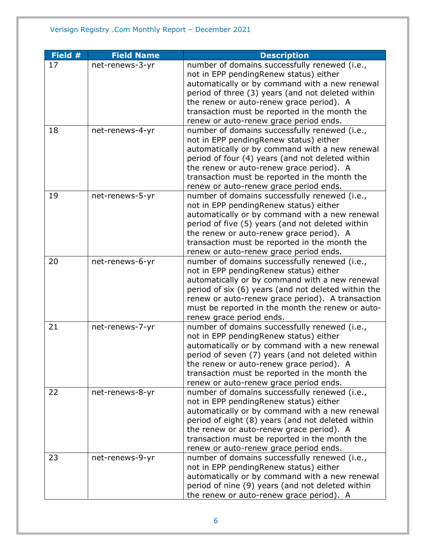| Field # | <b>Field Name</b> | <b>Description</b>                                                                                  |
|---------|-------------------|-----------------------------------------------------------------------------------------------------|
| 17      | net-renews-3-yr   | number of domains successfully renewed (i.e.,                                                       |
|         |                   | not in EPP pendingRenew status) either                                                              |
|         |                   | automatically or by command with a new renewal                                                      |
|         |                   | period of three (3) years (and not deleted within                                                   |
|         |                   | the renew or auto-renew grace period). A                                                            |
|         |                   | transaction must be reported in the month the                                                       |
|         |                   | renew or auto-renew grace period ends.                                                              |
| 18      | net-renews-4-yr   | number of domains successfully renewed (i.e.,                                                       |
|         |                   | not in EPP pendingRenew status) either                                                              |
|         |                   | automatically or by command with a new renewal                                                      |
|         |                   | period of four (4) years (and not deleted within                                                    |
|         |                   | the renew or auto-renew grace period). A                                                            |
|         |                   | transaction must be reported in the month the                                                       |
|         |                   | renew or auto-renew grace period ends.                                                              |
| 19      | net-renews-5-yr   | number of domains successfully renewed (i.e.,                                                       |
|         |                   | not in EPP pendingRenew status) either                                                              |
|         |                   | automatically or by command with a new renewal                                                      |
|         |                   | period of five (5) years (and not deleted within                                                    |
|         |                   | the renew or auto-renew grace period). A                                                            |
|         |                   | transaction must be reported in the month the                                                       |
|         |                   | renew or auto-renew grace period ends.                                                              |
| 20      | net-renews-6-yr   | number of domains successfully renewed (i.e.,                                                       |
|         |                   | not in EPP pendingRenew status) either                                                              |
|         |                   | automatically or by command with a new renewal                                                      |
|         |                   | period of six (6) years (and not deleted within the                                                 |
|         |                   | renew or auto-renew grace period). A transaction                                                    |
|         |                   | must be reported in the month the renew or auto-                                                    |
|         |                   | renew grace period ends.                                                                            |
| 21      | net-renews-7-yr   | number of domains successfully renewed (i.e.,                                                       |
|         |                   | not in EPP pendingRenew status) either                                                              |
|         |                   | automatically or by command with a new renewal                                                      |
|         |                   | period of seven (7) years (and not deleted within                                                   |
|         |                   | the renew or auto-renew grace period). A                                                            |
|         |                   | transaction must be reported in the month the                                                       |
|         |                   | renew or auto-renew grace period ends.                                                              |
| 22      | net-renews-8-yr   | number of domains successfully renewed (i.e.,                                                       |
|         |                   | not in EPP pendingRenew status) either                                                              |
|         |                   | automatically or by command with a new renewal<br>period of eight (8) years (and not deleted within |
|         |                   | the renew or auto-renew grace period). A                                                            |
|         |                   | transaction must be reported in the month the                                                       |
|         |                   | renew or auto-renew grace period ends.                                                              |
| 23      | net-renews-9-yr   | number of domains successfully renewed (i.e.,                                                       |
|         |                   | not in EPP pendingRenew status) either                                                              |
|         |                   | automatically or by command with a new renewal                                                      |
|         |                   | period of nine (9) years (and not deleted within                                                    |
|         |                   |                                                                                                     |
|         |                   | the renew or auto-renew grace period). A                                                            |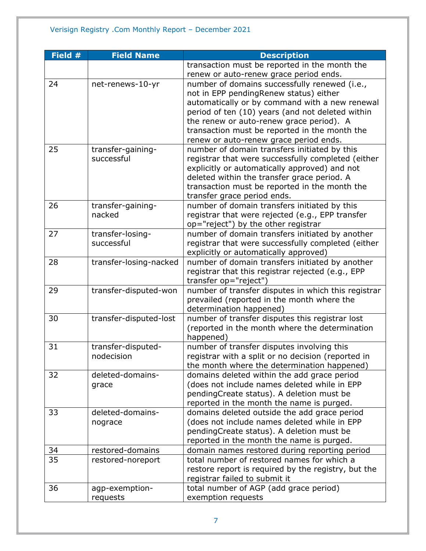| Field # | <b>Field Name</b>      | <b>Description</b>                                  |
|---------|------------------------|-----------------------------------------------------|
|         |                        | transaction must be reported in the month the       |
|         |                        | renew or auto-renew grace period ends.              |
| 24      | net-renews-10-yr       | number of domains successfully renewed (i.e.,       |
|         |                        | not in EPP pendingRenew status) either              |
|         |                        | automatically or by command with a new renewal      |
|         |                        | period of ten (10) years (and not deleted within    |
|         |                        | the renew or auto-renew grace period). A            |
|         |                        | transaction must be reported in the month the       |
|         |                        | renew or auto-renew grace period ends.              |
| 25      | transfer-gaining-      | number of domain transfers initiated by this        |
|         | successful             | registrar that were successfully completed (either  |
|         |                        | explicitly or automatically approved) and not       |
|         |                        | deleted within the transfer grace period. A         |
|         |                        | transaction must be reported in the month the       |
|         |                        | transfer grace period ends.                         |
| 26      | transfer-gaining-      | number of domain transfers initiated by this        |
|         | nacked                 | registrar that were rejected (e.g., EPP transfer    |
|         |                        | op="reject") by the other registrar                 |
| 27      | transfer-losing-       | number of domain transfers initiated by another     |
|         | successful             | registrar that were successfully completed (either  |
|         |                        | explicitly or automatically approved)               |
| 28      | transfer-losing-nacked | number of domain transfers initiated by another     |
|         |                        | registrar that this registrar rejected (e.g., EPP   |
|         |                        | transfer op="reject")                               |
| 29      | transfer-disputed-won  | number of transfer disputes in which this registrar |
|         |                        | prevailed (reported in the month where the          |
|         |                        | determination happened)                             |
| 30      | transfer-disputed-lost | number of transfer disputes this registrar lost     |
|         |                        | (reported in the month where the determination      |
|         |                        | happened)                                           |
| 31      | transfer-disputed-     | number of transfer disputes involving this          |
|         | nodecision             | registrar with a split or no decision (reported in  |
|         |                        | the month where the determination happened)         |
| 32      | deleted-domains-       | domains deleted within the add grace period         |
|         | grace                  | (does not include names deleted while in EPP        |
|         |                        | pendingCreate status). A deletion must be           |
|         |                        | reported in the month the name is purged.           |
| 33      | deleted-domains-       | domains deleted outside the add grace period        |
|         | nograce                | (does not include names deleted while in EPP        |
|         |                        | pendingCreate status). A deletion must be           |
|         |                        | reported in the month the name is purged.           |
| 34      | restored-domains       | domain names restored during reporting period       |
| 35      | restored-noreport      | total number of restored names for which a          |
|         |                        | restore report is required by the registry, but the |
|         |                        | registrar failed to submit it                       |
| 36      | agp-exemption-         | total number of AGP (add grace period)              |
|         | requests               | exemption requests                                  |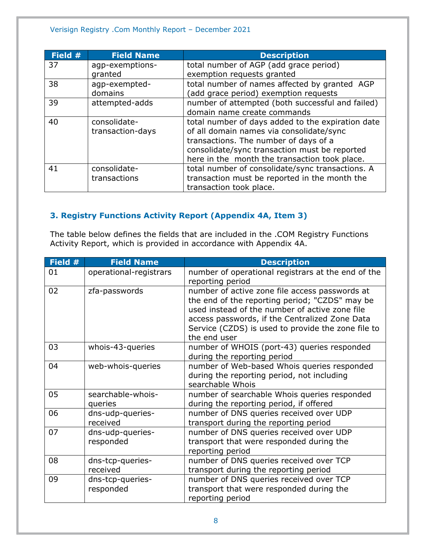#### Verisign Registry .Com Monthly Report – December 2021

| Field # | <b>Field Name</b> | <b>Description</b>                                |
|---------|-------------------|---------------------------------------------------|
| 37      | agp-exemptions-   | total number of AGP (add grace period)            |
|         | granted           | exemption requests granted                        |
| 38      | agp-exempted-     | total number of names affected by granted AGP     |
|         | domains           | (add grace period) exemption requests             |
| 39      | attempted-adds    | number of attempted (both successful and failed)  |
|         |                   | domain name create commands                       |
| 40      | consolidate-      | total number of days added to the expiration date |
|         | transaction-days  | of all domain names via consolidate/sync          |
|         |                   | transactions. The number of days of a             |
|         |                   | consolidate/sync transaction must be reported     |
|         |                   | here in the month the transaction took place.     |
| 41      | consolidate-      | total number of consolidate/sync transactions. A  |
|         | transactions      | transaction must be reported in the month the     |
|         |                   | transaction took place.                           |

#### <span id="page-7-0"></span>**3. Registry Functions Activity Report (Appendix 4A, Item 3)**

The table below defines the fields that are included in the .COM Registry Functions Activity Report, which is provided in accordance with Appendix 4A.

| Field # | <b>Field Name</b>             | <b>Description</b>                                                                                                                                                                                                                                                         |
|---------|-------------------------------|----------------------------------------------------------------------------------------------------------------------------------------------------------------------------------------------------------------------------------------------------------------------------|
| 01      | operational-registrars        | number of operational registrars at the end of the<br>reporting period                                                                                                                                                                                                     |
| 02      | zfa-passwords                 | number of active zone file access passwords at<br>the end of the reporting period; "CZDS" may be<br>used instead of the number of active zone file<br>access passwords, if the Centralized Zone Data<br>Service (CZDS) is used to provide the zone file to<br>the end user |
| 03      | whois-43-queries              | number of WHOIS (port-43) queries responded<br>during the reporting period                                                                                                                                                                                                 |
| 04      | web-whois-queries             | number of Web-based Whois queries responded<br>during the reporting period, not including<br>searchable Whois                                                                                                                                                              |
| 05      | searchable-whois-<br>queries  | number of searchable Whois queries responded<br>during the reporting period, if offered                                                                                                                                                                                    |
| 06      | dns-udp-queries-<br>received  | number of DNS queries received over UDP<br>transport during the reporting period                                                                                                                                                                                           |
| 07      | dns-udp-queries-<br>responded | number of DNS queries received over UDP<br>transport that were responded during the<br>reporting period                                                                                                                                                                    |
| 08      | dns-tcp-queries-<br>received  | number of DNS queries received over TCP<br>transport during the reporting period                                                                                                                                                                                           |
| 09      | dns-tcp-queries-<br>responded | number of DNS queries received over TCP<br>transport that were responded during the<br>reporting period                                                                                                                                                                    |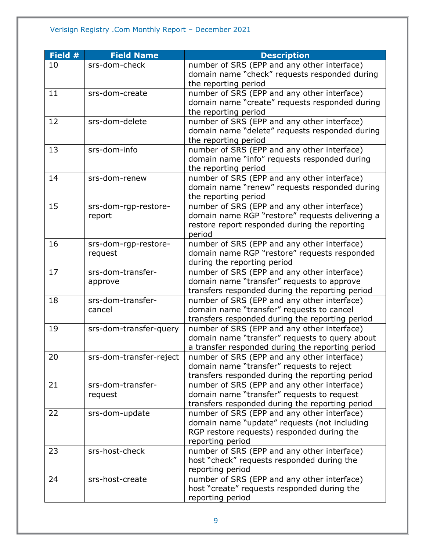### Verisign Registry .Com Monthly Report – December 2021

| Field # | <b>Field Name</b>       | <b>Description</b>                               |
|---------|-------------------------|--------------------------------------------------|
| 10      | srs-dom-check           | number of SRS (EPP and any other interface)      |
|         |                         | domain name "check" requests responded during    |
|         |                         | the reporting period                             |
| 11      | srs-dom-create          | number of SRS (EPP and any other interface)      |
|         |                         | domain name "create" requests responded during   |
|         |                         | the reporting period                             |
| 12      | srs-dom-delete          | number of SRS (EPP and any other interface)      |
|         |                         | domain name "delete" requests responded during   |
|         |                         | the reporting period                             |
| 13      | srs-dom-info            | number of SRS (EPP and any other interface)      |
|         |                         | domain name "info" requests responded during     |
|         |                         | the reporting period                             |
| 14      | srs-dom-renew           | number of SRS (EPP and any other interface)      |
|         |                         | domain name "renew" requests responded during    |
|         |                         | the reporting period                             |
| 15      | srs-dom-rgp-restore-    | number of SRS (EPP and any other interface)      |
|         | report                  | domain name RGP "restore" requests delivering a  |
|         |                         | restore report responded during the reporting    |
|         |                         | period                                           |
| 16      | srs-dom-rgp-restore-    | number of SRS (EPP and any other interface)      |
|         | request                 | domain name RGP "restore" requests responded     |
|         |                         | during the reporting period                      |
| 17      | srs-dom-transfer-       | number of SRS (EPP and any other interface)      |
|         | approve                 | domain name "transfer" requests to approve       |
|         |                         | transfers responded during the reporting period  |
| 18      | srs-dom-transfer-       | number of SRS (EPP and any other interface)      |
|         | cancel                  | domain name "transfer" requests to cancel        |
|         |                         | transfers responded during the reporting period  |
| 19      | srs-dom-transfer-query  | number of SRS (EPP and any other interface)      |
|         |                         | domain name "transfer" requests to query about   |
|         |                         | a transfer responded during the reporting period |
| 20      | srs-dom-transfer-reject | number of SRS (EPP and any other interface)      |
|         |                         | domain name "transfer" requests to reject        |
|         |                         | transfers responded during the reporting period  |
| 21      | srs-dom-transfer-       | number of SRS (EPP and any other interface)      |
|         | request                 | domain name "transfer" requests to request       |
|         |                         | transfers responded during the reporting period  |
| 22      | srs-dom-update          | number of SRS (EPP and any other interface)      |
|         |                         | domain name "update" requests (not including     |
|         |                         | RGP restore requests) responded during the       |
|         |                         | reporting period                                 |
| 23      | srs-host-check          | number of SRS (EPP and any other interface)      |
|         |                         | host "check" requests responded during the       |
| 24      |                         | reporting period                                 |
|         | srs-host-create         | number of SRS (EPP and any other interface)      |
|         |                         | host "create" requests responded during the      |
|         |                         | reporting period                                 |